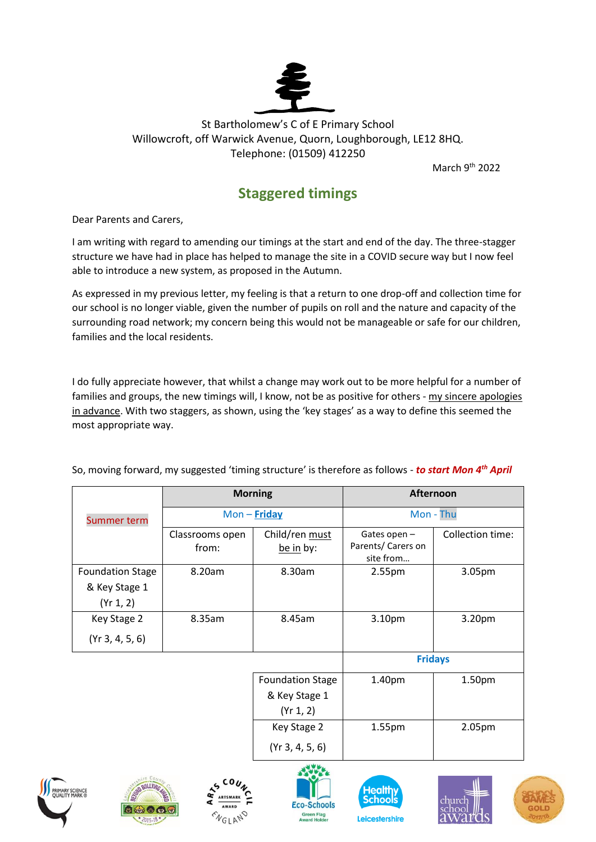

## St Bartholomew's C of E Primary School Willowcroft, off Warwick Avenue, Quorn, Loughborough, LE12 8HQ. Telephone: (01509) 412250

March 9<sup>th</sup> 2022

## **Staggered timings**

Dear Parents and Carers,

I am writing with regard to amending our timings at the start and end of the day. The three-stagger structure we have had in place has helped to manage the site in a COVID secure way but I now feel able to introduce a new system, as proposed in the Autumn.

As expressed in my previous letter, my feeling is that a return to one drop-off and collection time for our school is no longer viable, given the number of pupils on roll and the nature and capacity of the surrounding road network; my concern being this would not be manageable or safe for our children, families and the local residents.

I do fully appreciate however, that whilst a change may work out to be more helpful for a number of families and groups, the new timings will, I know, not be as positive for others - my sincere apologies in advance. With two staggers, as shown, using the 'key stages' as a way to define this seemed the most appropriate way.

|                                                       | <b>Morning</b>           |                                                       | Afternoon                                      |                  |
|-------------------------------------------------------|--------------------------|-------------------------------------------------------|------------------------------------------------|------------------|
| <b>Summer term</b>                                    | $Mon - Friday$           |                                                       | Mon - Thu                                      |                  |
|                                                       | Classrooms open<br>from: | Child/ren must<br>be in by:                           | Gates open-<br>Parents/ Carers on<br>site from | Collection time: |
| <b>Foundation Stage</b><br>& Key Stage 1<br>(Yr 1, 2) | 8.20am                   | 8.30am                                                | 2.55pm                                         | 3.05pm           |
| Key Stage 2<br>(Yr 3, 4, 5, 6)                        | 8.35am                   | 8.45am                                                | 3.10pm                                         | 3.20pm           |
|                                                       |                          |                                                       | <b>Fridays</b>                                 |                  |
|                                                       |                          | <b>Foundation Stage</b><br>& Key Stage 1<br>(Yr 1, 2) | 1.40pm                                         | 1.50pm           |
|                                                       |                          | Key Stage 2<br>(Yr 3, 4, 5, 6)                        | 1.55pm                                         | 2.05pm           |

So, moving forward, my suggested 'timing structure' is therefore as follows - *to start Mon 4th April*